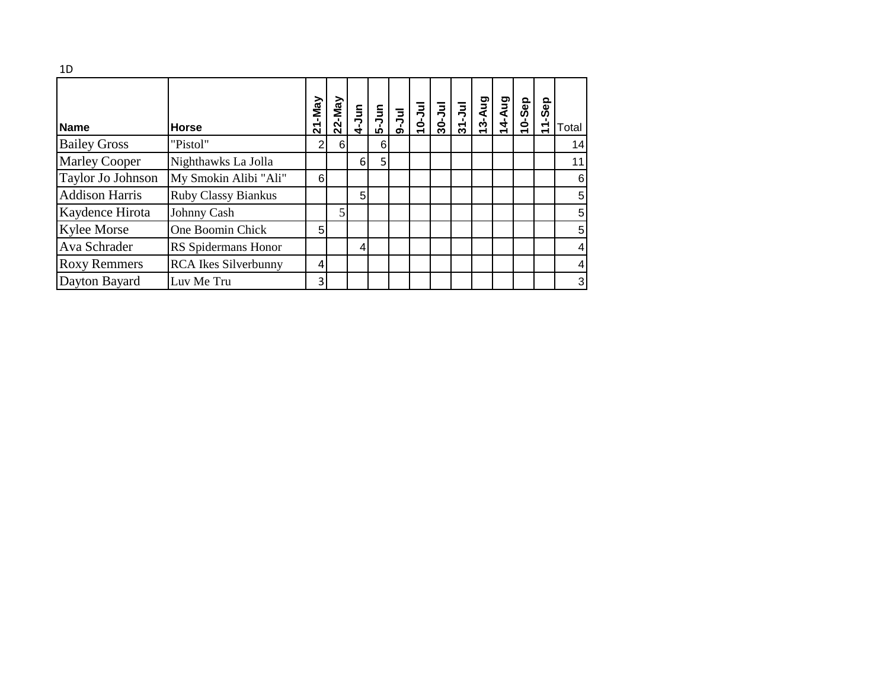| 1D                    |                             |                                 |   |                |   |  |  |        |        |           |                    |                |
|-----------------------|-----------------------------|---------------------------------|---|----------------|---|--|--|--------|--------|-----------|--------------------|----------------|
| <b>Name</b>           | <b>Horse</b>                | -May<br>$\overline{\mathbf{z}}$ |   |                |   |  |  | 13-Aug | 14-Aug | $10-$ Sep | Sep<br>$\tilde{t}$ | Total          |
| <b>Bailey Gross</b>   | "Pistol"                    | $\overline{2}$                  | 6 |                | 6 |  |  |        |        |           |                    | 14             |
| <b>Marley Cooper</b>  | Nighthawks La Jolla         |                                 |   | 6              | 5 |  |  |        |        |           |                    | 11             |
| Taylor Jo Johnson     | My Smokin Alibi "Ali"       | 6                               |   |                |   |  |  |        |        |           |                    | 6              |
| <b>Addison Harris</b> | Ruby Classy Biankus         |                                 |   | 5 <sup>1</sup> |   |  |  |        |        |           |                    | 5              |
| Kaydence Hirota       | Johnny Cash                 |                                 | 5 |                |   |  |  |        |        |           |                    | 5              |
| <b>Kylee Morse</b>    | One Boomin Chick            | 5 <sup>5</sup>                  |   |                |   |  |  |        |        |           |                    | 5              |
| Ava Schrader          | RS Spidermans Honor         |                                 |   |                |   |  |  |        |        |           |                    | $\overline{4}$ |
| <b>Roxy Remmers</b>   | <b>RCA</b> Ikes Silverbunny | $\overline{4}$                  |   |                |   |  |  |        |        |           |                    | 4              |
| Dayton Bayard         | Luv Me Tru                  | 3                               |   |                |   |  |  |        |        |           |                    | $\mathbf{3}$   |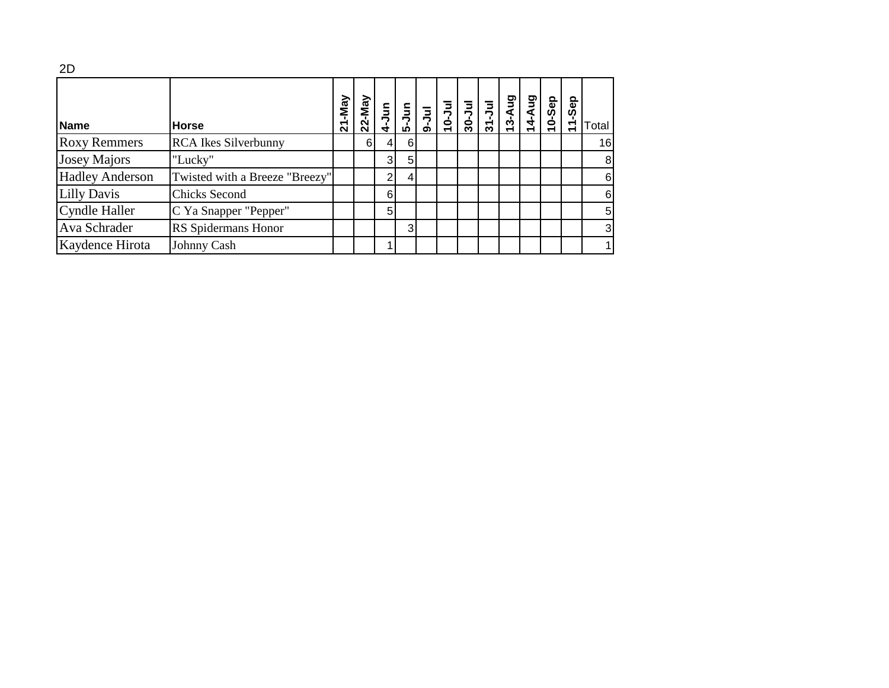| 2D                     |                                |        |           |                  |                                                                       |  |                                                                                                              |       |       |           |     |                |
|------------------------|--------------------------------|--------|-----------|------------------|-----------------------------------------------------------------------|--|--------------------------------------------------------------------------------------------------------------|-------|-------|-----------|-----|----------------|
| <b>Name</b>            | <b>Horse</b>                   | 21-May | $22$ -May |                  | $\frac{1}{4}$ $\frac{1}{5}$ $\frac{1}{2}$ $\frac{1}{2}$ $\frac{1}{2}$ |  | $\begin{array}{c c c c} \hline 1 & 3 & 3 & 3 \\ 3 & 3 & 3 & 3 \\ \hline 5 & 3 & 3 & 3 \\ \hline \end{array}$ | 3-Aug | 4-Aug | $10-$ Sep | Sep | Total          |
| <b>Roxy Remmers</b>    | <b>RCA</b> Ikes Silverbunny    |        | 61        | $\left 4\right $ | 6                                                                     |  |                                                                                                              |       |       |           |     | 16             |
| <b>Josey Majors</b>    | "Lucky"                        |        |           | 3                | 5                                                                     |  |                                                                                                              |       |       |           |     | 8 <sup>1</sup> |
| <b>Hadley Anderson</b> | Twisted with a Breeze "Breezy" |        |           | າ                |                                                                       |  |                                                                                                              |       |       |           |     | $6 \mid$       |
| <b>Lilly Davis</b>     | <b>Chicks Second</b>           |        |           | 6                |                                                                       |  |                                                                                                              |       |       |           |     | $6 \mid$       |
| Cyndle Haller          | C Ya Snapper "Pepper"          |        |           | 5                |                                                                       |  |                                                                                                              |       |       |           |     | 5 <sub>l</sub> |
| Ava Schrader           | RS Spidermans Honor            |        |           |                  | 3                                                                     |  |                                                                                                              |       |       |           |     | $\mathbf{3}$   |
| Kaydence Hirota        | Johnny Cash                    |        |           |                  |                                                                       |  |                                                                                                              |       |       |           |     |                |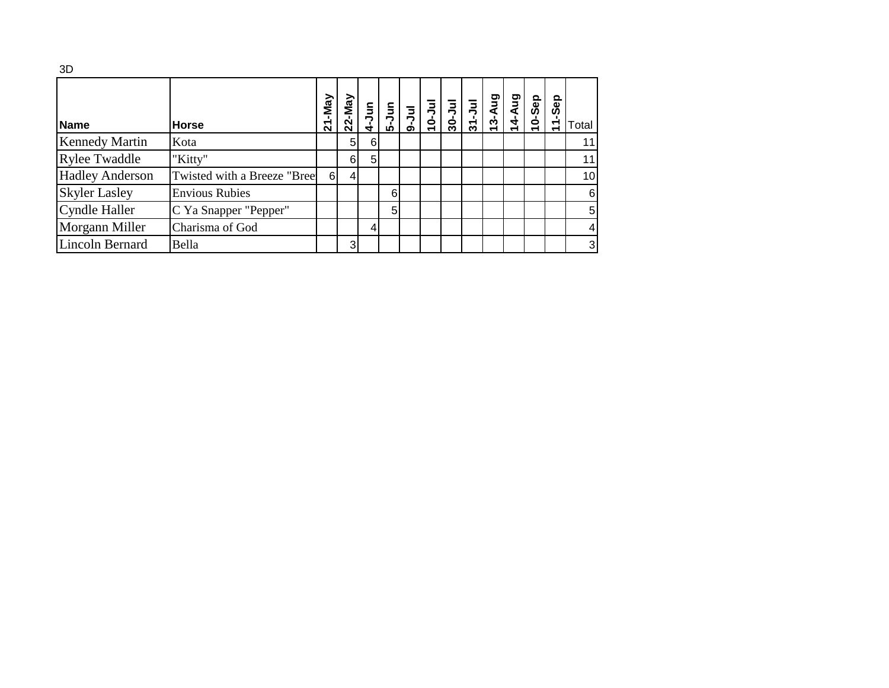| 3D                     |                              |            |                |                  |                                                                                            |            |                       |        |       |        |        |       |
|------------------------|------------------------------|------------|----------------|------------------|--------------------------------------------------------------------------------------------|------------|-----------------------|--------|-------|--------|--------|-------|
| <b>Name</b>            | <b>Horse</b>                 | $21 - May$ |                |                  | $\begin{array}{c c c c} \n\hline\n22-Ma \\ \hline\n4-Ju \\ \hline\n4 & 5 & 3\n\end{array}$ | $10 - Jul$ | $\frac{30-3u}{31-3u}$ | 13-Aug | 4-Aug | 10-Sep | 11-Sep | Total |
| <b>Kennedy Martin</b>  | Kota                         |            | 5 <sup>1</sup> | $6 \overline{6}$ |                                                                                            |            |                       |        |       |        |        | 11    |
| <b>Rylee Twaddle</b>   | "Kitty"                      |            | 6              | 5                |                                                                                            |            |                       |        |       |        |        | 11    |
| <b>Hadley Anderson</b> | Twisted with a Breeze "Breel | $6 \mid$   | $\vert$        |                  |                                                                                            |            |                       |        |       |        |        | 10    |
| <b>Skyler Lasley</b>   | <b>Envious Rubies</b>        |            |                |                  | 6                                                                                          |            |                       |        |       |        |        | 6     |
| <b>Cyndle Haller</b>   | C Ya Snapper "Pepper"        |            |                |                  | 5                                                                                          |            |                       |        |       |        |        | 5     |
| Morgann Miller         | Charisma of God              |            |                | 4                |                                                                                            |            |                       |        |       |        |        | 4     |
| <b>Lincoln Bernard</b> | Bella                        |            | 3              |                  |                                                                                            |            |                       |        |       |        |        | 3     |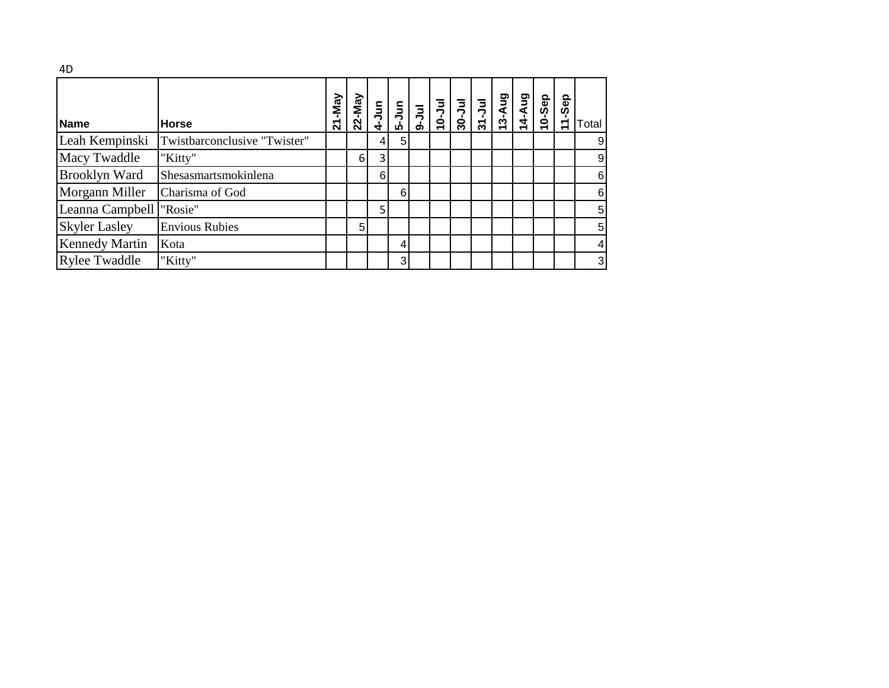| <b>Name</b>              | Horse                        | 21-May | $22$ -May | $4-Jun$        |                | $\frac{1}{2}$<br>$\frac{1}{2}$<br>$\frac{1}{2}$<br>$\frac{1}{2}$<br>$\frac{1}{2}$<br>$\frac{1}{2}$ | $30 - Ju$ | $31 - Ju$ | 3-Aug | 14-Aug | 10-Sep | -Sep<br>$\frac{1}{\tau}$ | Total |
|--------------------------|------------------------------|--------|-----------|----------------|----------------|----------------------------------------------------------------------------------------------------|-----------|-----------|-------|--------|--------|--------------------------|-------|
| Leah Kempinski           | Twistbarconclusive "Twister" |        |           | 4              | 5 <sub>5</sub> |                                                                                                    |           |           |       |        |        |                          | 9     |
| Macy Twaddle             | "Kitty"                      |        | 6         | $\overline{3}$ |                |                                                                                                    |           |           |       |        |        |                          | 9     |
| <b>Brooklyn Ward</b>     | Shesasmartsmokinlena         |        |           | 6              |                |                                                                                                    |           |           |       |        |        |                          | 6     |
| Morgann Miller           | Charisma of God              |        |           |                | $6 \mid$       |                                                                                                    |           |           |       |        |        |                          | 6     |
| Leanna Campbell  "Rosie" |                              |        |           | 5              |                |                                                                                                    |           |           |       |        |        |                          | 5     |
| <b>Skyler Lasley</b>     | <b>Envious Rubies</b>        |        | 5         |                |                |                                                                                                    |           |           |       |        |        |                          | 5     |
| <b>Kennedy Martin</b>    | Kota                         |        |           |                | 4              |                                                                                                    |           |           |       |        |        |                          | 4     |
| <b>Rylee Twaddle</b>     | "Kitty"                      |        |           |                | 3 <sup>l</sup> |                                                                                                    |           |           |       |        |        |                          | 3     |

 $4D$